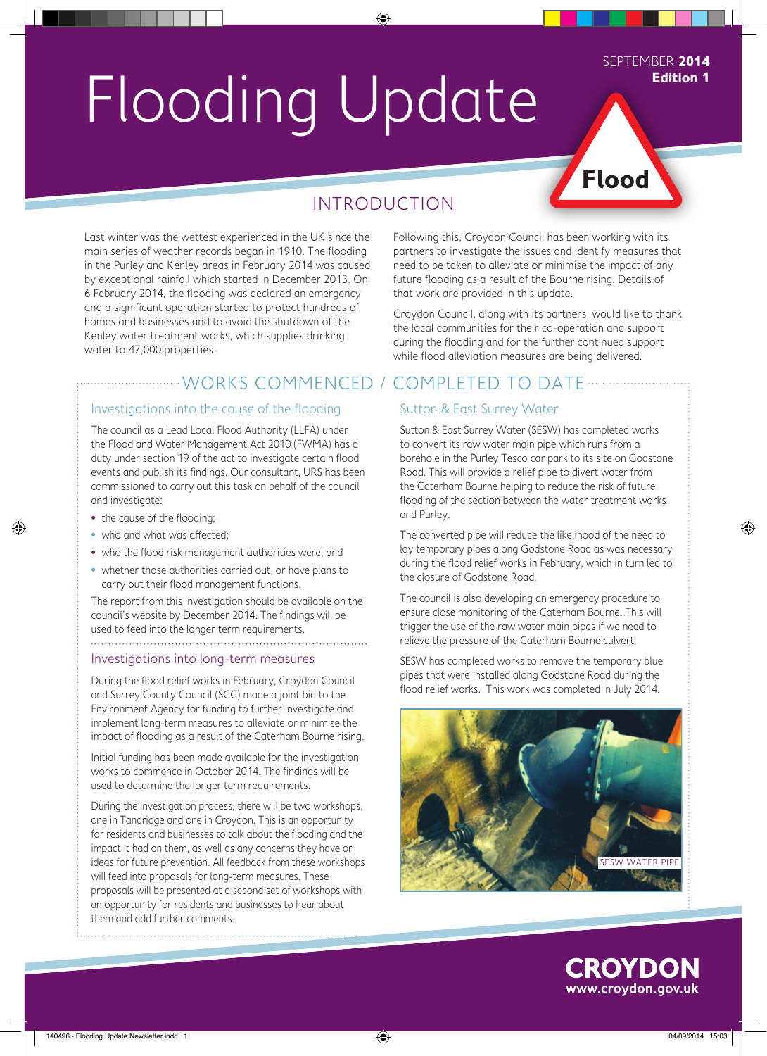# Flooding Update

#### SEPTEMBER **2014 Edition 1**

## **Flood**

### INTRODUCTION

◈

Last winter was the wettest experienced in the UK since the main series of weather records began in 1910. The flooding in the Purley and Kenley areas in February 2014 was caused by exceptional rainfall which started in December 2013. On 6 February 2014, the flooding was declared an emergency and a significant operation started to protect hundreds of homes and businesses and to avoid the shutdown of the Kenley water treatment works, which supplies drinking water to 47,000 properties.

#### ............WORKS COMMENCED / COMPLETED TO DATE ..............

#### Investigations into the cause of the flooding

The council as a Lead Local Flood Authority (LLFA) under the Flood and Water Management Act 2010 (FWMA) has a duty under section 19 of the act to investigate certain flood events and publish its findings. Our consultant, URS has been commissioned to carry out this task on behalf of the council and investigate:

• the cause of the flooding:

◈

- who and what was affected;
- who the flood risk management authorities were; and
- whether those authorities carried out, or have plans to carry out their flood management functions.

The report from this investigation should be available on the council's website by December 2014. The findings will be used to feed into the longer term requirements.

#### Investigations into long-term measures

During the flood relief works in February, Croydon Council and Surrey County Council (SCC) made a joint bid to the Environment Agency for funding to further investigate and implement long-term measures to alleviate or minimise the impact of flooding as a result of the Caterham Bourne rising.

Initial funding has been made available for the investigation works to commence in October 2014. The findings will be used to determine the longer term requirements.

During the investigation process, there will be two workshops, one in Tandridge and one in Croydon. This is an opportunity for residents and businesses to talk about the flooding and the impact it had on them, as well as any concerns they have or ideas for future prevention. All feedback from these workshops will feed into proposals for long-term measures. These proposals will be presented at a second set of workshops with an opportunity for residents and businesses to hear about them and add further comments.

Following this, Croydon Council has been working with its partners to investigate the issues and identify measures that need to be taken to alleviate or minimise the impact of any future flooding as a result of the Bourne rising. Details of that work are provided in this update.

Croydon Council, along with its partners, would like to thank the local communities for their co-operation and support during the flooding and for the further continued support while flood alleviation measures are being delivered.

#### Sutton & East Surrey Water

Sutton & East Surrey Water (SESW) has completed works to convert its raw water main pipe which runs from a borehole in the Purley Tesco car park to its site on Godstone Road. This will provide a relief pipe to divert water from the Caterham Bourne helping to reduce the risk of future flooding of the section between the water treatment works and Purley.

The converted pipe will reduce the likelihood of the need to lay temporary pipes along Godstone Road as was necessary during the flood relief works in February, which in turn led to the closure of Godstone Road.

The council is also developing an emergency procedure to ensure close monitoring of the Caterham Bourne. This will trigger the use of the raw water main pipes if we need to relieve the pressure of the Caterham Bourne culvert.

SESW has completed works to remove the temporary blue pipes that were installed along Godstone Road during the flood relief works. This work was completed in July 2014.





◈